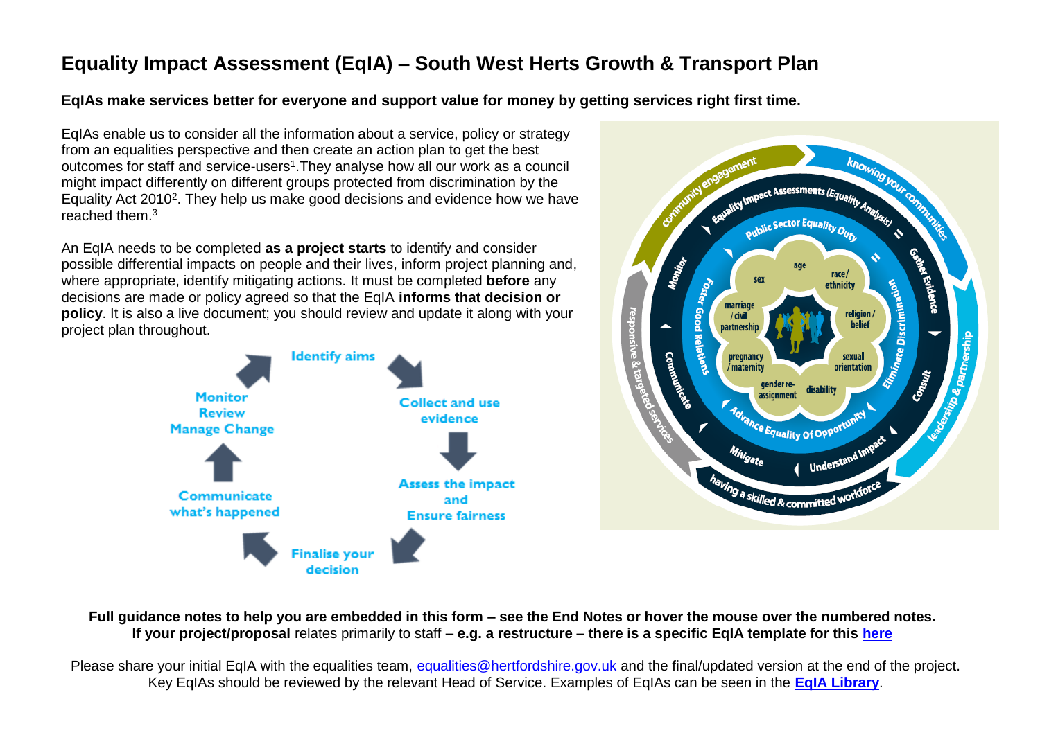# **Equality Impact Assessment (EqIA) – South West Herts Growth & Transport Plan**

**EqIAs make services better for everyone and support value for money by getting services right first time.**

EqIAs enable us to consider all the information about a service, policy or strategy from an equalities perspective and then create an action plan to get the best outcomes for staff and service-users<sup>1</sup>. They analyse how all our work as a council might impact differently on different groups protected from discrimination by the Equality Act 2010<sup>2</sup>. They help us make good decisions and evidence how we have reached them.<sup>3</sup>

An EqIA needs to be completed **as a project starts** to identify and consider possible differential impacts on people and their lives, inform project planning and, where appropriate, identify mitigating actions. It must be completed **before** any decisions are made or policy agreed so that the EqIA **informs that decision or policy**. It is also a live document; you should review and update it along with your project plan throughout.





**Full guidance notes to help you are embedded in this form – see the End Notes or hover the mouse over the numbered notes. If your project/proposal** relates primarily to staff **– e.g. a restructure – there is a specific EqIA template for this [here](https://hertscc365.sharepoint.com/sites/intranet/Services/Resources/Improvement/Documents/HR%20template.doc)**

Please share your initial EqIA with the equalities team, [equalities@hertfordshire.gov.uk](mailto:equalities@hertfordshire.gov.uk) and the final/updated version at the end of the project. Key EqIAs should be reviewed by the relevant Head of Service. Examples of EqIAs can be seen in the **[EqIA Library](https://hertscc365.sharepoint.com/sites/intranet/Services/Resources/Improvement/Pages/EqIA-Library.aspx)**.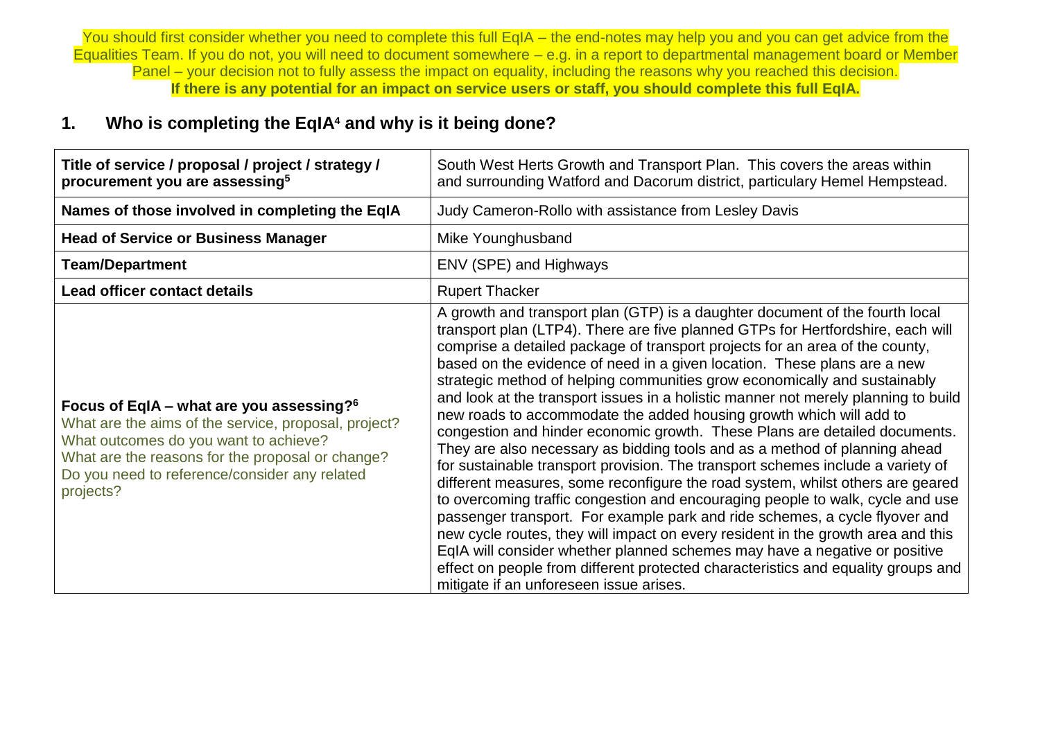You should first consider whether you need to complete this full EqIA – the end-notes may help you and you can get advice from the Equalities Team. If you do not, you will need to document somewhere – e.g. in a report to departmental management board or Member Panel – your decision not to fully assess the impact on equality, including the reasons why you reached this decision. **If there is any potential for an impact on service users or staff, you should complete this full EqIA.**

## **1. Who is completing the EqIA<sup>4</sup> and why is it being done?**

| Title of service / proposal / project / strategy /<br>procurement you are assessing <sup>5</sup>                                                                                                                                                               | South West Herts Growth and Transport Plan. This covers the areas within<br>and surrounding Watford and Dacorum district, particulary Hemel Hempstead.                                                                                                                                                                                                                                                                                                                                                                                                                                                                                                                                                                                                                                                                                                                                                                                                                                                                                                                                                                                                                                                                                                                                                                                                                    |  |  |
|----------------------------------------------------------------------------------------------------------------------------------------------------------------------------------------------------------------------------------------------------------------|---------------------------------------------------------------------------------------------------------------------------------------------------------------------------------------------------------------------------------------------------------------------------------------------------------------------------------------------------------------------------------------------------------------------------------------------------------------------------------------------------------------------------------------------------------------------------------------------------------------------------------------------------------------------------------------------------------------------------------------------------------------------------------------------------------------------------------------------------------------------------------------------------------------------------------------------------------------------------------------------------------------------------------------------------------------------------------------------------------------------------------------------------------------------------------------------------------------------------------------------------------------------------------------------------------------------------------------------------------------------------|--|--|
| Names of those involved in completing the EqIA                                                                                                                                                                                                                 | Judy Cameron-Rollo with assistance from Lesley Davis                                                                                                                                                                                                                                                                                                                                                                                                                                                                                                                                                                                                                                                                                                                                                                                                                                                                                                                                                                                                                                                                                                                                                                                                                                                                                                                      |  |  |
| <b>Head of Service or Business Manager</b>                                                                                                                                                                                                                     | Mike Younghusband                                                                                                                                                                                                                                                                                                                                                                                                                                                                                                                                                                                                                                                                                                                                                                                                                                                                                                                                                                                                                                                                                                                                                                                                                                                                                                                                                         |  |  |
| <b>Team/Department</b>                                                                                                                                                                                                                                         | ENV (SPE) and Highways                                                                                                                                                                                                                                                                                                                                                                                                                                                                                                                                                                                                                                                                                                                                                                                                                                                                                                                                                                                                                                                                                                                                                                                                                                                                                                                                                    |  |  |
| <b>Lead officer contact details</b>                                                                                                                                                                                                                            | <b>Rupert Thacker</b>                                                                                                                                                                                                                                                                                                                                                                                                                                                                                                                                                                                                                                                                                                                                                                                                                                                                                                                                                                                                                                                                                                                                                                                                                                                                                                                                                     |  |  |
| Focus of EqIA – what are you assessing? $6$<br>What are the aims of the service, proposal, project?<br>What outcomes do you want to achieve?<br>What are the reasons for the proposal or change?<br>Do you need to reference/consider any related<br>projects? | A growth and transport plan (GTP) is a daughter document of the fourth local<br>transport plan (LTP4). There are five planned GTPs for Hertfordshire, each will<br>comprise a detailed package of transport projects for an area of the county,<br>based on the evidence of need in a given location. These plans are a new<br>strategic method of helping communities grow economically and sustainably<br>and look at the transport issues in a holistic manner not merely planning to build<br>new roads to accommodate the added housing growth which will add to<br>congestion and hinder economic growth. These Plans are detailed documents.<br>They are also necessary as bidding tools and as a method of planning ahead<br>for sustainable transport provision. The transport schemes include a variety of<br>different measures, some reconfigure the road system, whilst others are geared<br>to overcoming traffic congestion and encouraging people to walk, cycle and use<br>passenger transport. For example park and ride schemes, a cycle flyover and<br>new cycle routes, they will impact on every resident in the growth area and this<br>EqIA will consider whether planned schemes may have a negative or positive<br>effect on people from different protected characteristics and equality groups and<br>mitigate if an unforeseen issue arises. |  |  |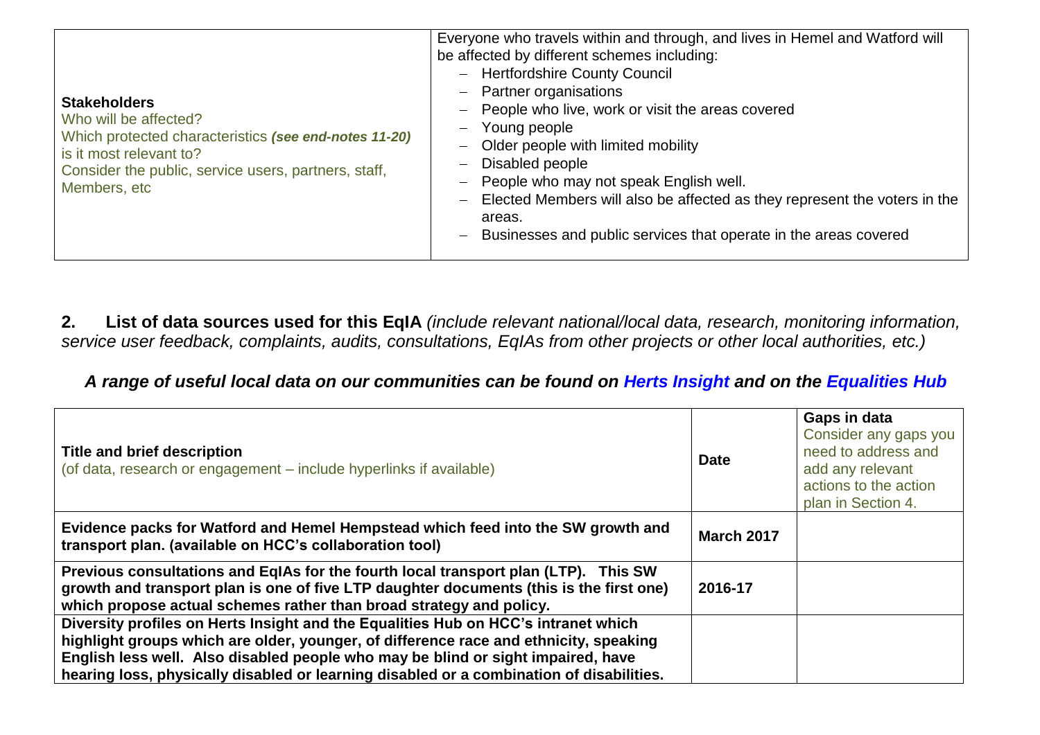| <b>Stakeholders</b><br>Who will be affected?<br>Which protected characteristics (see end-notes 11-20)<br>is it most relevant to?<br>Consider the public, service users, partners, staff,<br>Members, etc | Everyone who travels within and through, and lives in Hemel and Watford will<br>be affected by different schemes including:<br><b>Hertfordshire County Council</b><br>$\overline{\phantom{0}}$<br><b>Partner organisations</b><br>$\overline{\phantom{m}}$<br>People who live, work or visit the areas covered<br>$\overline{\phantom{m}}$<br>Young people<br>$\overline{\phantom{m}}$<br>Older people with limited mobility<br>Disabled people<br>$\qquad \qquad -$<br>People who may not speak English well.<br>Elected Members will also be affected as they represent the voters in the<br>$\qquad \qquad -$<br>areas.<br>Businesses and public services that operate in the areas covered<br>$\qquad \qquad -$ |
|----------------------------------------------------------------------------------------------------------------------------------------------------------------------------------------------------------|---------------------------------------------------------------------------------------------------------------------------------------------------------------------------------------------------------------------------------------------------------------------------------------------------------------------------------------------------------------------------------------------------------------------------------------------------------------------------------------------------------------------------------------------------------------------------------------------------------------------------------------------------------------------------------------------------------------------|
|----------------------------------------------------------------------------------------------------------------------------------------------------------------------------------------------------------|---------------------------------------------------------------------------------------------------------------------------------------------------------------------------------------------------------------------------------------------------------------------------------------------------------------------------------------------------------------------------------------------------------------------------------------------------------------------------------------------------------------------------------------------------------------------------------------------------------------------------------------------------------------------------------------------------------------------|

**2. List of data sources used for this EqIA** *(include relevant national/local data, research, monitoring information, service user feedback, complaints, audits, consultations, EqIAs from other projects or other local authorities, etc.)*

## *A range of useful local data on our communities can be found on [Herts Insight](https://www.hertfordshire.gov.uk/microsites/herts-insight/home.aspx) and on the [Equalities Hub](https://hertscc365.sharepoint.com/sites/intranet/Services/Resources/Improvement/Pages/Equalities-data.aspx)*

| <b>Title and brief description</b><br>(of data, research or engagement – include hyperlinks if available)                                                                                                                                                                                                                                                   | <b>Date</b>       | Gaps in data<br>Consider any gaps you<br>need to address and<br>add any relevant<br>actions to the action<br>plan in Section 4. |
|-------------------------------------------------------------------------------------------------------------------------------------------------------------------------------------------------------------------------------------------------------------------------------------------------------------------------------------------------------------|-------------------|---------------------------------------------------------------------------------------------------------------------------------|
| Evidence packs for Watford and Hemel Hempstead which feed into the SW growth and<br>transport plan. (available on HCC's collaboration tool)                                                                                                                                                                                                                 | <b>March 2017</b> |                                                                                                                                 |
| Previous consultations and EqIAs for the fourth local transport plan (LTP). This SW<br>growth and transport plan is one of five LTP daughter documents (this is the first one)<br>which propose actual schemes rather than broad strategy and policy.                                                                                                       | 2016-17           |                                                                                                                                 |
| Diversity profiles on Herts Insight and the Equalities Hub on HCC's intranet which<br>highlight groups which are older, younger, of difference race and ethnicity, speaking<br>English less well. Also disabled people who may be blind or sight impaired, have<br>hearing loss, physically disabled or learning disabled or a combination of disabilities. |                   |                                                                                                                                 |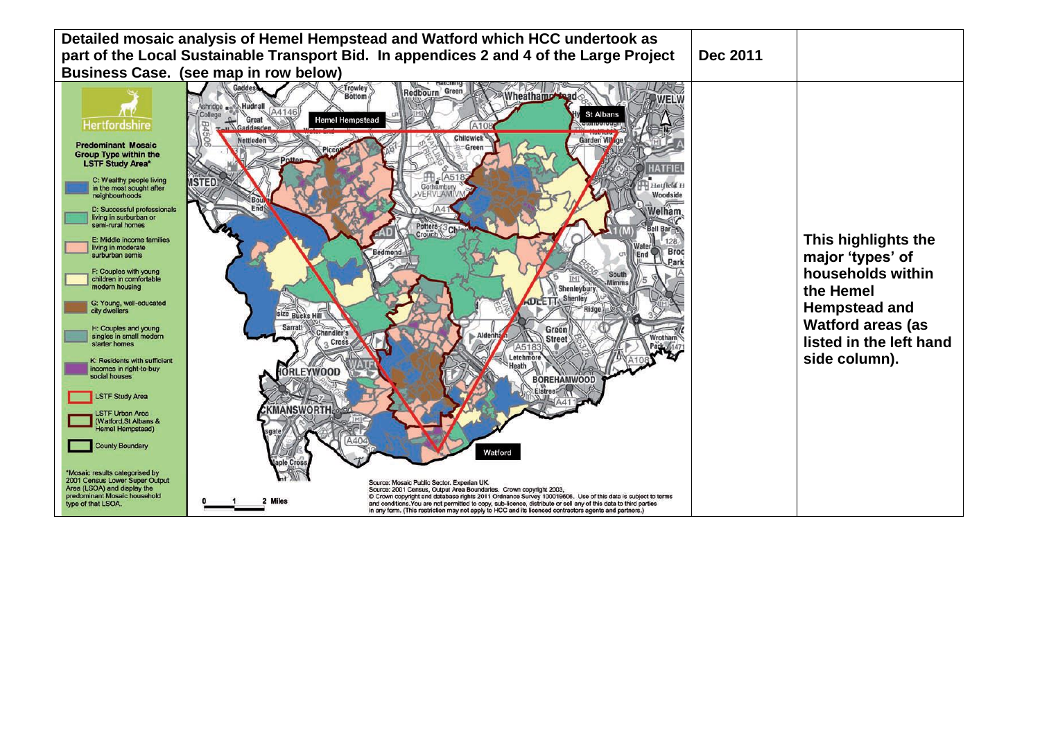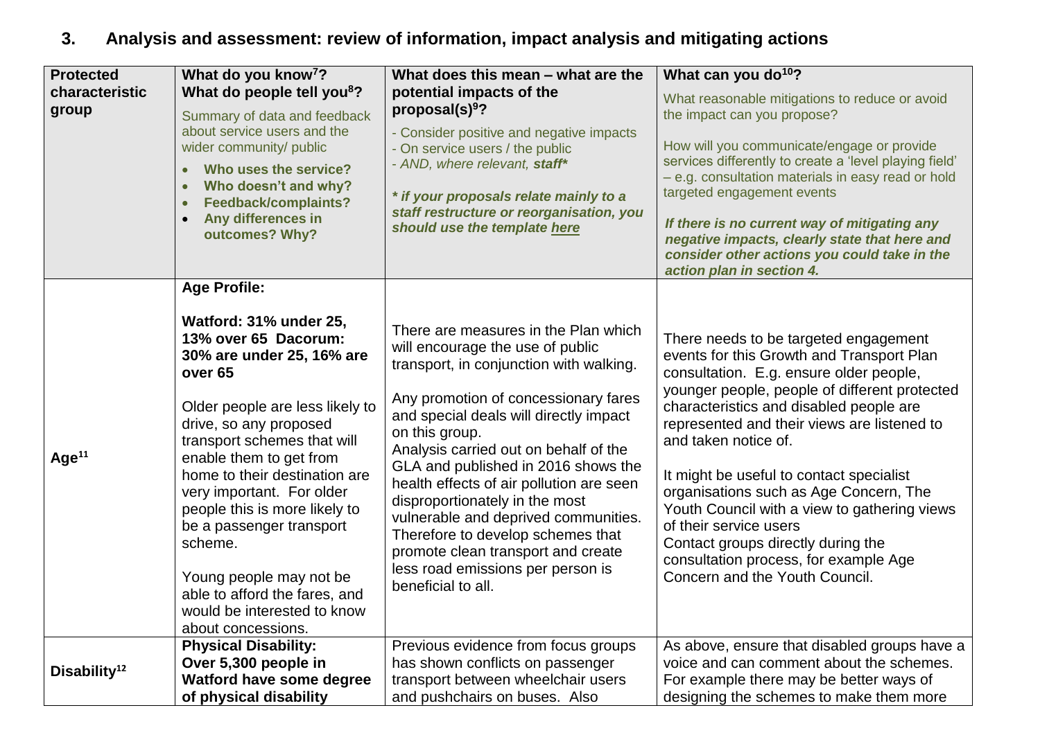# **3. Analysis and assessment: review of information, impact analysis and mitigating actions**

| <b>Protected</b><br>characteristic<br>group | What do you know <sup>7</sup> ?<br>What do people tell you <sup>8</sup> ?<br>Summary of data and feedback<br>about service users and the<br>wider community/ public<br>Who uses the service?<br>$\bullet$<br>Who doesn't and why?<br>$\bullet$<br>Feedback/complaints?<br>$\bullet$<br>Any differences in<br>$\bullet$<br>outcomes? Why?                                                                                                                                                               | What does this mean - what are the<br>potential impacts of the<br>proposal(s) $9$ ?<br>- Consider positive and negative impacts<br>- On service users / the public<br>- AND, where relevant, staff*<br>* if your proposals relate mainly to a<br>staff restructure or reorganisation, you<br>should use the template here                                                                                                                                                                                                                                           | What can you do <sup>10</sup> ?<br>What reasonable mitigations to reduce or avoid<br>the impact can you propose?<br>How will you communicate/engage or provide<br>services differently to create a 'level playing field'<br>- e.g. consultation materials in easy read or hold<br>targeted engagement events<br>If there is no current way of mitigating any<br>negative impacts, clearly state that here and                                                                                                                                                                     |
|---------------------------------------------|--------------------------------------------------------------------------------------------------------------------------------------------------------------------------------------------------------------------------------------------------------------------------------------------------------------------------------------------------------------------------------------------------------------------------------------------------------------------------------------------------------|---------------------------------------------------------------------------------------------------------------------------------------------------------------------------------------------------------------------------------------------------------------------------------------------------------------------------------------------------------------------------------------------------------------------------------------------------------------------------------------------------------------------------------------------------------------------|-----------------------------------------------------------------------------------------------------------------------------------------------------------------------------------------------------------------------------------------------------------------------------------------------------------------------------------------------------------------------------------------------------------------------------------------------------------------------------------------------------------------------------------------------------------------------------------|
|                                             |                                                                                                                                                                                                                                                                                                                                                                                                                                                                                                        |                                                                                                                                                                                                                                                                                                                                                                                                                                                                                                                                                                     | consider other actions you could take in the<br>action plan in section 4.                                                                                                                                                                                                                                                                                                                                                                                                                                                                                                         |
| Age <sup>11</sup>                           | <b>Age Profile:</b><br>Watford: 31% under 25,<br>13% over 65 Dacorum:<br>30% are under 25, 16% are<br>over <sub>65</sub><br>Older people are less likely to<br>drive, so any proposed<br>transport schemes that will<br>enable them to get from<br>home to their destination are<br>very important. For older<br>people this is more likely to<br>be a passenger transport<br>scheme.<br>Young people may not be<br>able to afford the fares, and<br>would be interested to know<br>about concessions. | There are measures in the Plan which<br>will encourage the use of public<br>transport, in conjunction with walking.<br>Any promotion of concessionary fares<br>and special deals will directly impact<br>on this group.<br>Analysis carried out on behalf of the<br>GLA and published in 2016 shows the<br>health effects of air pollution are seen<br>disproportionately in the most<br>vulnerable and deprived communities.<br>Therefore to develop schemes that<br>promote clean transport and create<br>less road emissions per person is<br>beneficial to all. | There needs to be targeted engagement<br>events for this Growth and Transport Plan<br>consultation. E.g. ensure older people,<br>younger people, people of different protected<br>characteristics and disabled people are<br>represented and their views are listened to<br>and taken notice of.<br>It might be useful to contact specialist<br>organisations such as Age Concern, The<br>Youth Council with a view to gathering views<br>of their service users<br>Contact groups directly during the<br>consultation process, for example Age<br>Concern and the Youth Council. |
| Disability <sup>12</sup>                    | <b>Physical Disability:</b><br>Over 5,300 people in<br>Watford have some degree<br>of physical disability                                                                                                                                                                                                                                                                                                                                                                                              | Previous evidence from focus groups<br>has shown conflicts on passenger<br>transport between wheelchair users<br>and pushchairs on buses. Also                                                                                                                                                                                                                                                                                                                                                                                                                      | As above, ensure that disabled groups have a<br>voice and can comment about the schemes.<br>For example there may be better ways of<br>designing the schemes to make them more                                                                                                                                                                                                                                                                                                                                                                                                    |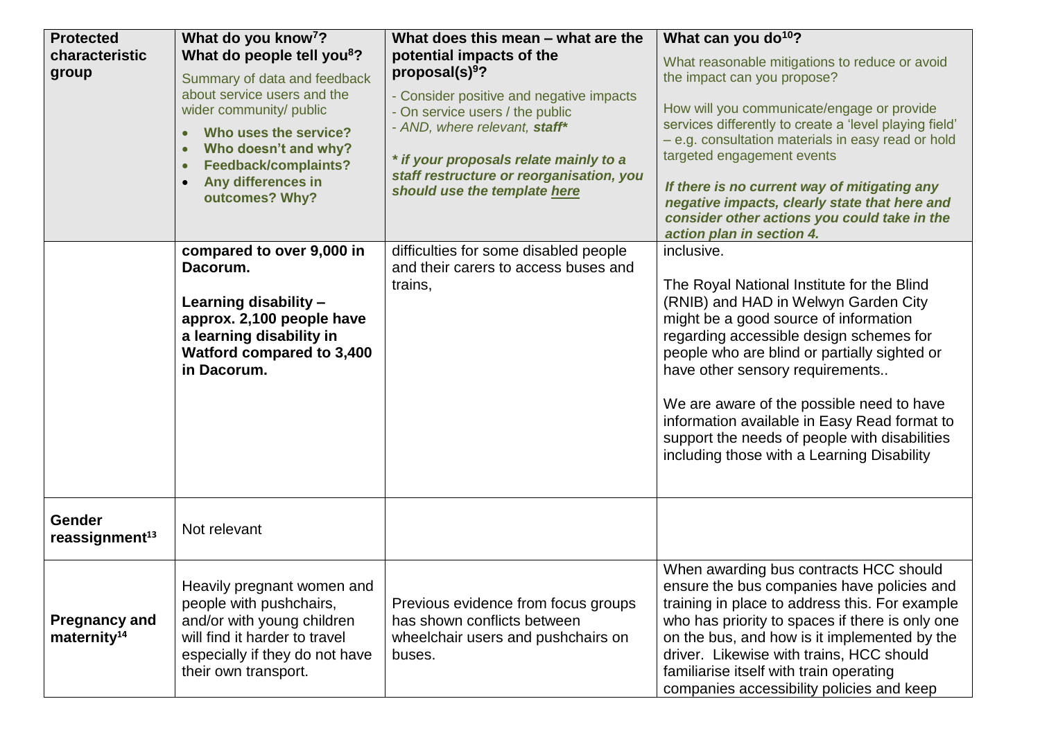| <b>Protected</b>           | What do you know <sup>7</sup> ?                                        | What does this mean - what are the                               | What can you do <sup>10</sup> ?                                                               |
|----------------------------|------------------------------------------------------------------------|------------------------------------------------------------------|-----------------------------------------------------------------------------------------------|
| characteristic             | What do people tell you <sup>8</sup> ?                                 | potential impacts of the                                         | What reasonable mitigations to reduce or avoid                                                |
| group                      | Summary of data and feedback                                           | proposal(s) $9$ ?                                                | the impact can you propose?                                                                   |
|                            | about service users and the                                            | - Consider positive and negative impacts                         | How will you communicate/engage or provide                                                    |
|                            | wider community/ public                                                | - On service users / the public<br>- AND, where relevant, staff* | services differently to create a 'level playing field'                                        |
|                            | Who uses the service?<br>$\bullet$                                     |                                                                  | - e.g. consultation materials in easy read or hold                                            |
|                            | Who doesn't and why?<br>$\bullet$<br>Feedback/complaints?<br>$\bullet$ | * if your proposals relate mainly to a                           | targeted engagement events                                                                    |
|                            | Any differences in<br>$\bullet$                                        | staff restructure or reorganisation, you                         |                                                                                               |
|                            | outcomes? Why?                                                         | should use the template here                                     | If there is no current way of mitigating any<br>negative impacts, clearly state that here and |
|                            |                                                                        |                                                                  | consider other actions you could take in the                                                  |
|                            |                                                                        |                                                                  | action plan in section 4.                                                                     |
|                            | compared to over 9,000 in                                              | difficulties for some disabled people                            | inclusive.                                                                                    |
|                            | Dacorum.                                                               | and their carers to access buses and                             |                                                                                               |
|                            | Learning disability -                                                  | trains,                                                          | The Royal National Institute for the Blind<br>(RNIB) and HAD in Welwyn Garden City            |
|                            | approx. 2,100 people have                                              |                                                                  | might be a good source of information                                                         |
|                            | a learning disability in                                               |                                                                  | regarding accessible design schemes for                                                       |
|                            | Watford compared to 3,400                                              |                                                                  | people who are blind or partially sighted or                                                  |
|                            | in Dacorum.                                                            |                                                                  | have other sensory requirements                                                               |
|                            |                                                                        |                                                                  |                                                                                               |
|                            |                                                                        |                                                                  | We are aware of the possible need to have                                                     |
|                            |                                                                        |                                                                  | information available in Easy Read format to<br>support the needs of people with disabilities |
|                            |                                                                        |                                                                  | including those with a Learning Disability                                                    |
|                            |                                                                        |                                                                  |                                                                                               |
|                            |                                                                        |                                                                  |                                                                                               |
| <b>Gender</b>              |                                                                        |                                                                  |                                                                                               |
| reassignment <sup>13</sup> | Not relevant                                                           |                                                                  |                                                                                               |
|                            |                                                                        |                                                                  | When awarding bus contracts HCC should                                                        |
|                            | Heavily pregnant women and                                             |                                                                  | ensure the bus companies have policies and                                                    |
|                            | people with pushchairs,                                                | Previous evidence from focus groups                              | training in place to address this. For example                                                |
| <b>Pregnancy and</b>       | and/or with young children                                             | has shown conflicts between                                      | who has priority to spaces if there is only one                                               |
| maternity <sup>14</sup>    | will find it harder to travel                                          | wheelchair users and pushchairs on                               | on the bus, and how is it implemented by the                                                  |
|                            | especially if they do not have                                         | buses.                                                           | driver. Likewise with trains, HCC should                                                      |
|                            | their own transport.                                                   |                                                                  | familiarise itself with train operating                                                       |
|                            |                                                                        |                                                                  | companies accessibility policies and keep                                                     |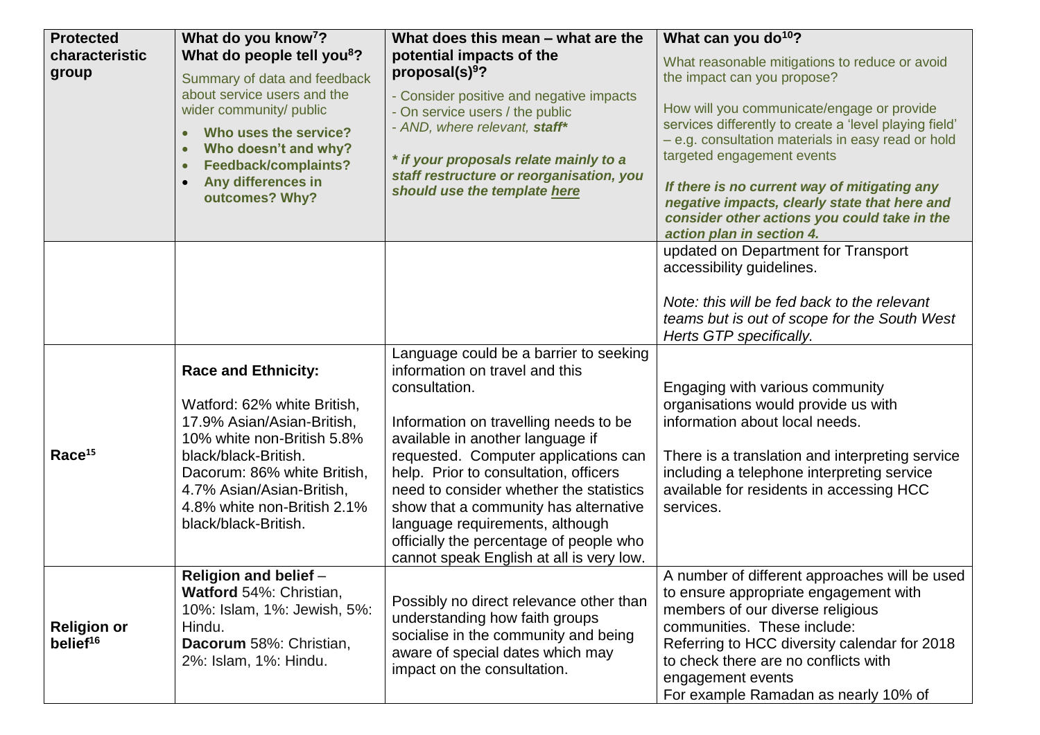| <b>Protected</b>                           | What do you know <sup>7</sup> ?                                                                                                                                                                                                                                  | What does this mean - what are the                                                                                                                                                                                                                                                                                                                                                                                                                                    | What can you do <sup>10</sup> ?                                                                                                                                                                                                                                                                                                                                        |
|--------------------------------------------|------------------------------------------------------------------------------------------------------------------------------------------------------------------------------------------------------------------------------------------------------------------|-----------------------------------------------------------------------------------------------------------------------------------------------------------------------------------------------------------------------------------------------------------------------------------------------------------------------------------------------------------------------------------------------------------------------------------------------------------------------|------------------------------------------------------------------------------------------------------------------------------------------------------------------------------------------------------------------------------------------------------------------------------------------------------------------------------------------------------------------------|
| characteristic<br>group                    | What do people tell you <sup>8</sup> ?<br>Summary of data and feedback                                                                                                                                                                                           | potential impacts of the<br>proposal(s) $9$ ?                                                                                                                                                                                                                                                                                                                                                                                                                         | What reasonable mitigations to reduce or avoid<br>the impact can you propose?                                                                                                                                                                                                                                                                                          |
|                                            | about service users and the<br>wider community/ public<br>Who uses the service?<br>$\bullet$<br>Who doesn't and why?<br>$\bullet$<br>Feedback/complaints?<br>$\bullet$<br>Any differences in<br>$\bullet$<br>outcomes? Why?                                      | - Consider positive and negative impacts<br>- On service users / the public<br>- AND, where relevant, staff*<br>* if your proposals relate mainly to a<br>staff restructure or reorganisation, you<br>should use the template here                                                                                                                                                                                                                                    | How will you communicate/engage or provide<br>services differently to create a 'level playing field'<br>- e.g. consultation materials in easy read or hold<br>targeted engagement events<br>If there is no current way of mitigating any<br>negative impacts, clearly state that here and<br>consider other actions you could take in the<br>action plan in section 4. |
|                                            |                                                                                                                                                                                                                                                                  |                                                                                                                                                                                                                                                                                                                                                                                                                                                                       | updated on Department for Transport<br>accessibility guidelines.<br>Note: this will be fed back to the relevant<br>teams but is out of scope for the South West<br>Herts GTP specifically.                                                                                                                                                                             |
| Race <sup>15</sup>                         | <b>Race and Ethnicity:</b><br>Watford: 62% white British,<br>17.9% Asian/Asian-British,<br>10% white non-British 5.8%<br>black/black-British.<br>Dacorum: 86% white British,<br>4.7% Asian/Asian-British,<br>4.8% white non-British 2.1%<br>black/black-British. | Language could be a barrier to seeking<br>information on travel and this<br>consultation.<br>Information on travelling needs to be<br>available in another language if<br>requested. Computer applications can<br>help. Prior to consultation, officers<br>need to consider whether the statistics<br>show that a community has alternative<br>language requirements, although<br>officially the percentage of people who<br>cannot speak English at all is very low. | Engaging with various community<br>organisations would provide us with<br>information about local needs.<br>There is a translation and interpreting service<br>including a telephone interpreting service<br>available for residents in accessing HCC<br>services.                                                                                                     |
| <b>Religion or</b><br>belief <sup>16</sup> | Religion and belief -<br>Watford 54%: Christian,<br>10%: Islam, 1%: Jewish, 5%:<br>Hindu.<br>Dacorum 58%: Christian,<br>2%: Islam, 1%: Hindu.                                                                                                                    | Possibly no direct relevance other than<br>understanding how faith groups<br>socialise in the community and being<br>aware of special dates which may<br>impact on the consultation.                                                                                                                                                                                                                                                                                  | A number of different approaches will be used<br>to ensure appropriate engagement with<br>members of our diverse religious<br>communities. These include:<br>Referring to HCC diversity calendar for 2018<br>to check there are no conflicts with<br>engagement events<br>For example Ramadan as nearly 10% of                                                         |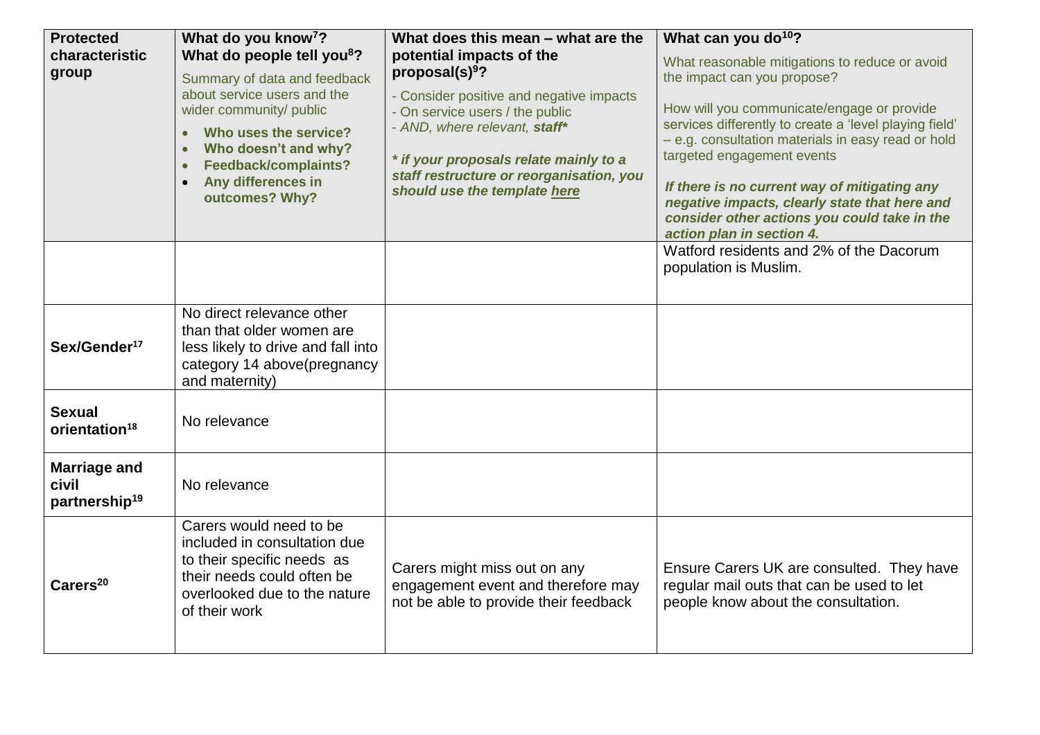| <b>Protected</b>                                          | What do you know <sup>7</sup> ?                                                                                                                                                                                                                                                                       | What does this mean - what are the                                                                                                                                                                                                                                                              | What can you do <sup>10</sup> ?                                                                                                                                                                                                                                                                                                                                                                                                                         |
|-----------------------------------------------------------|-------------------------------------------------------------------------------------------------------------------------------------------------------------------------------------------------------------------------------------------------------------------------------------------------------|-------------------------------------------------------------------------------------------------------------------------------------------------------------------------------------------------------------------------------------------------------------------------------------------------|---------------------------------------------------------------------------------------------------------------------------------------------------------------------------------------------------------------------------------------------------------------------------------------------------------------------------------------------------------------------------------------------------------------------------------------------------------|
| characteristic<br>group                                   | What do people tell you <sup>8</sup> ?<br>Summary of data and feedback<br>about service users and the<br>wider community/ public<br>Who uses the service?<br>$\bullet$<br>Who doesn't and why?<br>$\bullet$<br>Feedback/complaints?<br>$\bullet$<br>Any differences in<br>$\bullet$<br>outcomes? Why? | potential impacts of the<br>proposal $(s)$ <sup>9</sup> ?<br>- Consider positive and negative impacts<br>- On service users / the public<br>- AND, where relevant, staff*<br>* if your proposals relate mainly to a<br>staff restructure or reorganisation, you<br>should use the template here | What reasonable mitigations to reduce or avoid<br>the impact can you propose?<br>How will you communicate/engage or provide<br>services differently to create a 'level playing field'<br>- e.g. consultation materials in easy read or hold<br>targeted engagement events<br>If there is no current way of mitigating any<br>negative impacts, clearly state that here and<br>consider other actions you could take in the<br>action plan in section 4. |
|                                                           |                                                                                                                                                                                                                                                                                                       |                                                                                                                                                                                                                                                                                                 | Watford residents and 2% of the Dacorum<br>population is Muslim.                                                                                                                                                                                                                                                                                                                                                                                        |
| Sex/Gender <sup>17</sup>                                  | No direct relevance other<br>than that older women are<br>less likely to drive and fall into<br>category 14 above(pregnancy<br>and maternity)                                                                                                                                                         |                                                                                                                                                                                                                                                                                                 |                                                                                                                                                                                                                                                                                                                                                                                                                                                         |
| <b>Sexual</b><br>orientation <sup>18</sup>                | No relevance                                                                                                                                                                                                                                                                                          |                                                                                                                                                                                                                                                                                                 |                                                                                                                                                                                                                                                                                                                                                                                                                                                         |
| <b>Marriage and</b><br>civil<br>partnership <sup>19</sup> | No relevance                                                                                                                                                                                                                                                                                          |                                                                                                                                                                                                                                                                                                 |                                                                                                                                                                                                                                                                                                                                                                                                                                                         |
| Carers <sup>20</sup>                                      | Carers would need to be<br>included in consultation due<br>to their specific needs as<br>their needs could often be<br>overlooked due to the nature<br>of their work                                                                                                                                  | Carers might miss out on any<br>engagement event and therefore may<br>not be able to provide their feedback                                                                                                                                                                                     | Ensure Carers UK are consulted. They have<br>regular mail outs that can be used to let<br>people know about the consultation.                                                                                                                                                                                                                                                                                                                           |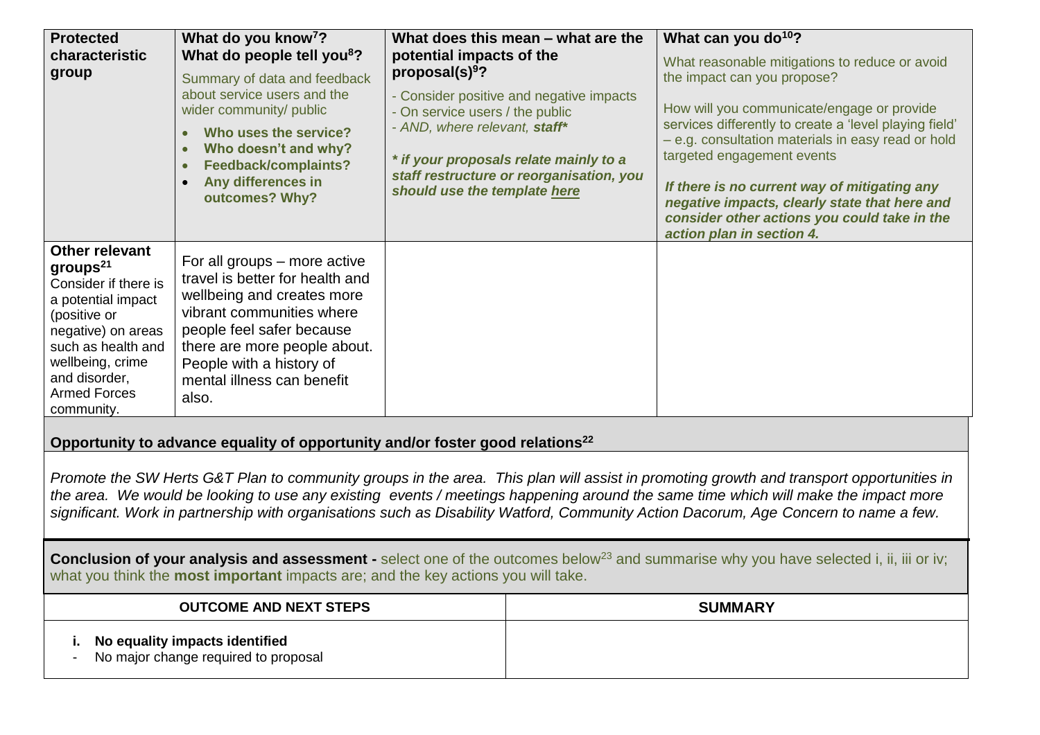| <b>Protected</b><br>characteristic<br>group                                                                                                                                                                                                                                                                                                                                                                                                                                                                                                                                                                                                                                    | What do you know <sup>7</sup> ?<br>What do people tell you <sup>8</sup> ?<br>Summary of data and feedback<br>about service users and the<br>wider community/ public<br>Who uses the service?<br>$\bullet$<br>Who doesn't and why?<br>$\bullet$<br>Feedback/complaints?<br>$\bullet$<br>Any differences in<br>$\bullet$<br>outcomes? Why? | potential impacts of the<br>proposal $(s)$ <sup>9</sup> ?<br>- On service users / the public<br>- AND, where relevant, staff*<br>should use the template here | What does this mean - what are the<br>- Consider positive and negative impacts<br>* if your proposals relate mainly to a<br>staff restructure or reorganisation, you | What can you do <sup>10</sup> ?<br>What reasonable mitigations to reduce or avoid<br>the impact can you propose?<br>How will you communicate/engage or provide<br>services differently to create a 'level playing field'<br>- e.g. consultation materials in easy read or hold<br>targeted engagement events<br>If there is no current way of mitigating any<br>negative impacts, clearly state that here and<br>consider other actions you could take in the<br>action plan in section 4. |
|--------------------------------------------------------------------------------------------------------------------------------------------------------------------------------------------------------------------------------------------------------------------------------------------------------------------------------------------------------------------------------------------------------------------------------------------------------------------------------------------------------------------------------------------------------------------------------------------------------------------------------------------------------------------------------|------------------------------------------------------------------------------------------------------------------------------------------------------------------------------------------------------------------------------------------------------------------------------------------------------------------------------------------|---------------------------------------------------------------------------------------------------------------------------------------------------------------|----------------------------------------------------------------------------------------------------------------------------------------------------------------------|--------------------------------------------------------------------------------------------------------------------------------------------------------------------------------------------------------------------------------------------------------------------------------------------------------------------------------------------------------------------------------------------------------------------------------------------------------------------------------------------|
| <b>Other relevant</b><br>$groups^{21}$<br>Consider if there is<br>a potential impact<br>(positive or<br>negative) on areas<br>such as health and<br>wellbeing, crime<br>and disorder,<br><b>Armed Forces</b><br>community.                                                                                                                                                                                                                                                                                                                                                                                                                                                     | For all groups – more active<br>travel is better for health and<br>wellbeing and creates more<br>vibrant communities where<br>people feel safer because<br>there are more people about.<br>People with a history of<br>mental illness can benefit<br>also.                                                                               |                                                                                                                                                               |                                                                                                                                                                      |                                                                                                                                                                                                                                                                                                                                                                                                                                                                                            |
| Opportunity to advance equality of opportunity and/or foster good relations <sup>22</sup><br>Promote the SW Herts G&T Plan to community groups in the area. This plan will assist in promoting growth and transport opportunities in<br>the area. We would be looking to use any existing events / meetings happening around the same time which will make the impact more<br>significant. Work in partnership with organisations such as Disability Watford, Community Action Dacorum, Age Concern to name a few.<br><b>Conclusion of your analysis and assessment</b> - select one of the outcomes below <sup>23</sup> and summarise why you have selected i, ii, iii or iv; |                                                                                                                                                                                                                                                                                                                                          |                                                                                                                                                               |                                                                                                                                                                      |                                                                                                                                                                                                                                                                                                                                                                                                                                                                                            |
| what you think the most important impacts are; and the key actions you will take.<br><b>SUMMARY</b><br><b>OUTCOME AND NEXT STEPS</b><br>No equality impacts identified<br>i.<br>No major change required to proposal                                                                                                                                                                                                                                                                                                                                                                                                                                                           |                                                                                                                                                                                                                                                                                                                                          |                                                                                                                                                               |                                                                                                                                                                      |                                                                                                                                                                                                                                                                                                                                                                                                                                                                                            |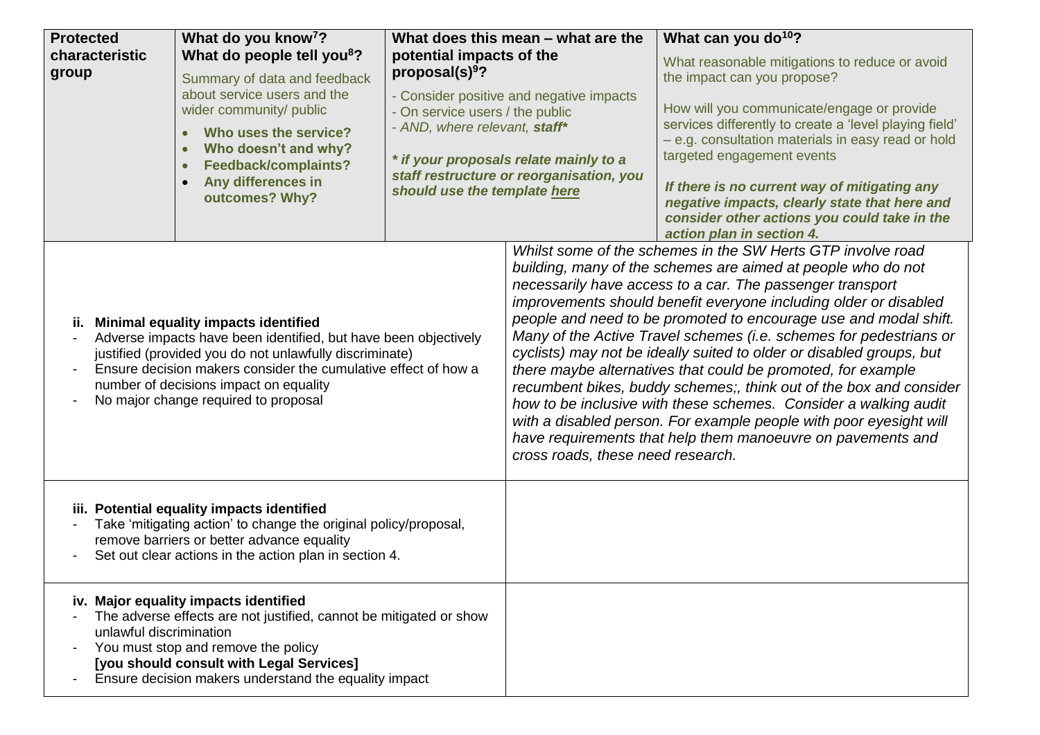| <b>Protected</b><br>characteristic<br>group                                                                                                                                                                                                                                                                                         | What do you know <sup>7</sup> ?<br>What do people tell you <sup>8</sup> ?<br>Summary of data and feedback<br>about service users and the<br>wider community/ public<br>Who uses the service?<br>Who doesn't and why?<br>Feedback/complaints?<br>Any differences in<br>outcomes? Why? | potential impacts of the<br>proposal(s) $9$ ?<br>On service users / the public<br>- AND, where relevant, staff*<br>should use the template here | What does this mean – what are the<br>- Consider positive and negative impacts<br>* if your proposals relate mainly to a<br>staff restructure or reorganisation, you                                                                                                                                                                                                                                                                                                                                                                                                                                                                                                                                                                                                                                                          | What can you do <sup>10</sup> ?<br>What reasonable mitigations to reduce or avoid<br>the impact can you propose?<br>How will you communicate/engage or provide<br>services differently to create a 'level playing field'<br>- e.g. consultation materials in easy read or hold<br>targeted engagement events<br>If there is no current way of mitigating any<br>negative impacts, clearly state that here and<br>consider other actions you could take in the<br>action plan in section 4. |
|-------------------------------------------------------------------------------------------------------------------------------------------------------------------------------------------------------------------------------------------------------------------------------------------------------------------------------------|--------------------------------------------------------------------------------------------------------------------------------------------------------------------------------------------------------------------------------------------------------------------------------------|-------------------------------------------------------------------------------------------------------------------------------------------------|-------------------------------------------------------------------------------------------------------------------------------------------------------------------------------------------------------------------------------------------------------------------------------------------------------------------------------------------------------------------------------------------------------------------------------------------------------------------------------------------------------------------------------------------------------------------------------------------------------------------------------------------------------------------------------------------------------------------------------------------------------------------------------------------------------------------------------|--------------------------------------------------------------------------------------------------------------------------------------------------------------------------------------------------------------------------------------------------------------------------------------------------------------------------------------------------------------------------------------------------------------------------------------------------------------------------------------------|
| <b>Minimal equality impacts identified</b><br>ii.<br>Adverse impacts have been identified, but have been objectively<br>justified (provided you do not unlawfully discriminate)<br>Ensure decision makers consider the cumulative effect of how a<br>number of decisions impact on equality<br>No major change required to proposal |                                                                                                                                                                                                                                                                                      | cross roads, these need research.                                                                                                               | Whilst some of the schemes in the SW Herts GTP involve road<br>building, many of the schemes are aimed at people who do not<br>necessarily have access to a car. The passenger transport<br>improvements should benefit everyone including older or disabled<br>people and need to be promoted to encourage use and modal shift.<br>Many of the Active Travel schemes (i.e. schemes for pedestrians or<br>cyclists) may not be ideally suited to older or disabled groups, but<br>there maybe alternatives that could be promoted, for example<br>recumbent bikes, buddy schemes;, think out of the box and consider<br>how to be inclusive with these schemes. Consider a walking audit<br>with a disabled person. For example people with poor eyesight will<br>have requirements that help them manoeuvre on pavements and |                                                                                                                                                                                                                                                                                                                                                                                                                                                                                            |
| iii. Potential equality impacts identified<br>Take 'mitigating action' to change the original policy/proposal,<br>$\blacksquare$<br>remove barriers or better advance equality<br>Set out clear actions in the action plan in section 4.                                                                                            |                                                                                                                                                                                                                                                                                      |                                                                                                                                                 |                                                                                                                                                                                                                                                                                                                                                                                                                                                                                                                                                                                                                                                                                                                                                                                                                               |                                                                                                                                                                                                                                                                                                                                                                                                                                                                                            |
| unlawful discrimination                                                                                                                                                                                                                                                                                                             | iv. Major equality impacts identified<br>The adverse effects are not justified, cannot be mitigated or show<br>You must stop and remove the policy<br>[you should consult with Legal Services]<br>Ensure decision makers understand the equality impact                              |                                                                                                                                                 |                                                                                                                                                                                                                                                                                                                                                                                                                                                                                                                                                                                                                                                                                                                                                                                                                               |                                                                                                                                                                                                                                                                                                                                                                                                                                                                                            |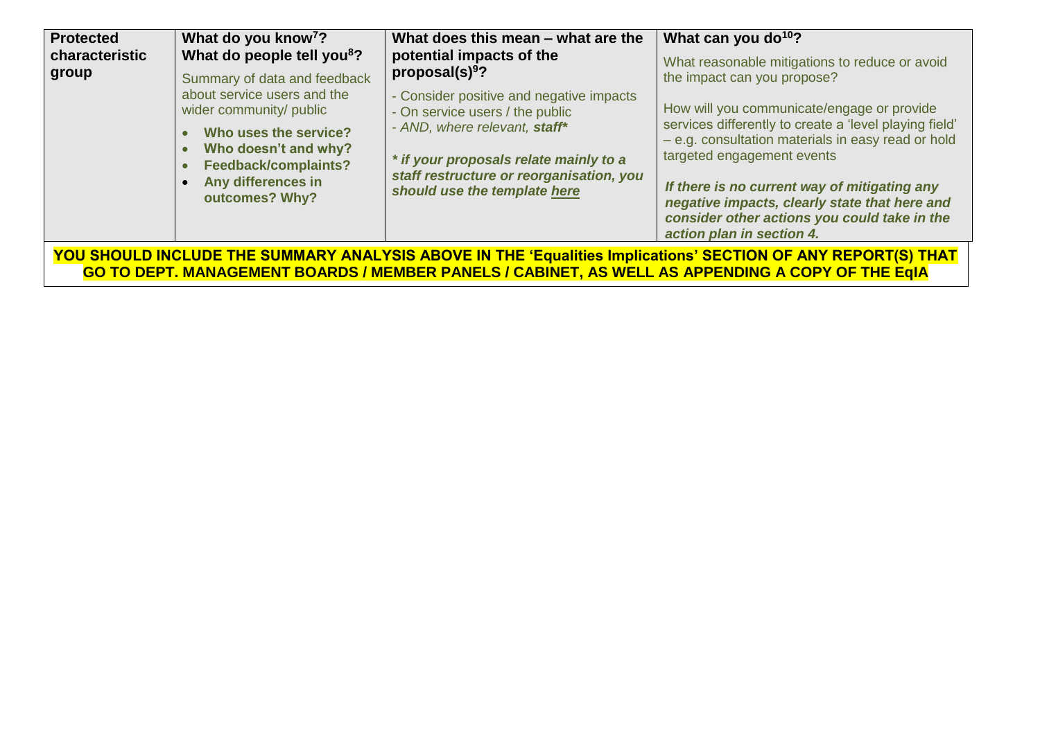| <b>Protected</b><br>characteristic                                                                                                                                                                               | What do you know <sup>7</sup> ?<br>What do people tell you <sup>8</sup> ?                                                                                                                               | What does this mean – what are the<br>potential impacts of the<br>proposal(s) $9$ ?                                                                                                                                                | What can you do <sup>10</sup> ?<br>What reasonable mitigations to reduce or avoid                                                                                                                                                                                                                                                                                                                     |  |
|------------------------------------------------------------------------------------------------------------------------------------------------------------------------------------------------------------------|---------------------------------------------------------------------------------------------------------------------------------------------------------------------------------------------------------|------------------------------------------------------------------------------------------------------------------------------------------------------------------------------------------------------------------------------------|-------------------------------------------------------------------------------------------------------------------------------------------------------------------------------------------------------------------------------------------------------------------------------------------------------------------------------------------------------------------------------------------------------|--|
| group                                                                                                                                                                                                            | Summary of data and feedback<br>about service users and the<br>wider community/ public<br>Who uses the service?<br>Who doesn't and why?<br>Feedback/complaints?<br>Any differences in<br>outcomes? Why? | - Consider positive and negative impacts<br>- On service users / the public<br>- AND, where relevant, staff*<br>* if your proposals relate mainly to a<br>staff restructure or reorganisation, you<br>should use the template here | the impact can you propose?<br>How will you communicate/engage or provide<br>services differently to create a 'level playing field'<br>- e.g. consultation materials in easy read or hold<br>targeted engagement events<br>If there is no current way of mitigating any<br>negative impacts, clearly state that here and<br>consider other actions you could take in the<br>action plan in section 4. |  |
| YOU SHOULD INCLUDE THE SUMMARY ANALYSIS ABOVE IN THE 'Equalities Implications' SECTION OF ANY REPORT(S) THAT<br>GO TO DEPT. MANAGEMENT BOARDS / MEMBER PANELS / CABINET, AS WELL AS APPENDING A COPY OF THE EqIA |                                                                                                                                                                                                         |                                                                                                                                                                                                                                    |                                                                                                                                                                                                                                                                                                                                                                                                       |  |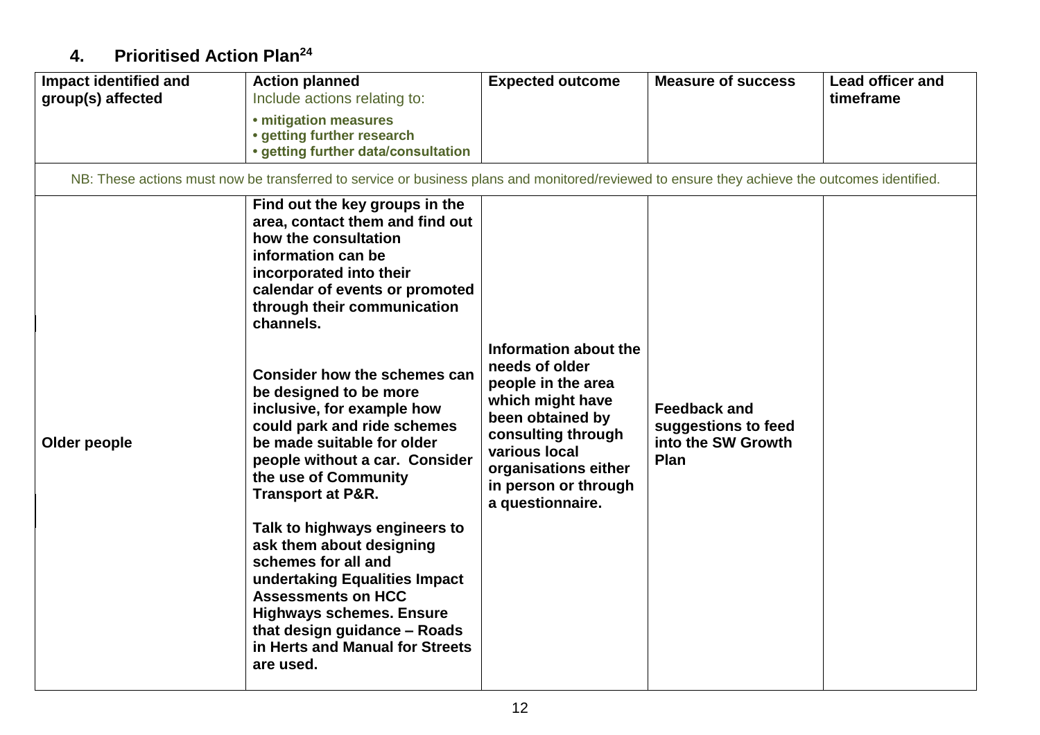## **4. Prioritised Action Plan<sup>24</sup>**

| Impact identified and<br>group(s) affected                                                                                                    | <b>Action planned</b><br>Include actions relating to:                                                                                                                                                                                                                                                                                                                                                                                                                                                                                                                                                                                                                                                                                        | <b>Expected outcome</b>                                                                                                                                                                                          | <b>Measure of success</b>                                                | <b>Lead officer and</b><br>timeframe |
|-----------------------------------------------------------------------------------------------------------------------------------------------|----------------------------------------------------------------------------------------------------------------------------------------------------------------------------------------------------------------------------------------------------------------------------------------------------------------------------------------------------------------------------------------------------------------------------------------------------------------------------------------------------------------------------------------------------------------------------------------------------------------------------------------------------------------------------------------------------------------------------------------------|------------------------------------------------------------------------------------------------------------------------------------------------------------------------------------------------------------------|--------------------------------------------------------------------------|--------------------------------------|
|                                                                                                                                               | • mitigation measures<br>• getting further research<br>• getting further data/consultation                                                                                                                                                                                                                                                                                                                                                                                                                                                                                                                                                                                                                                                   |                                                                                                                                                                                                                  |                                                                          |                                      |
| NB: These actions must now be transferred to service or business plans and monitored/reviewed to ensure they achieve the outcomes identified. |                                                                                                                                                                                                                                                                                                                                                                                                                                                                                                                                                                                                                                                                                                                                              |                                                                                                                                                                                                                  |                                                                          |                                      |
| Older people                                                                                                                                  | Find out the key groups in the<br>area, contact them and find out<br>how the consultation<br>information can be<br>incorporated into their<br>calendar of events or promoted<br>through their communication<br>channels.<br>Consider how the schemes can<br>be designed to be more<br>inclusive, for example how<br>could park and ride schemes<br>be made suitable for older<br>people without a car. Consider<br>the use of Community<br><b>Transport at P&amp;R.</b><br>Talk to highways engineers to<br>ask them about designing<br>schemes for all and<br>undertaking Equalities Impact<br><b>Assessments on HCC</b><br><b>Highways schemes. Ensure</b><br>that design guidance - Roads<br>in Herts and Manual for Streets<br>are used. | Information about the<br>needs of older<br>people in the area<br>which might have<br>been obtained by<br>consulting through<br>various local<br>organisations either<br>in person or through<br>a questionnaire. | <b>Feedback and</b><br>suggestions to feed<br>into the SW Growth<br>Plan |                                      |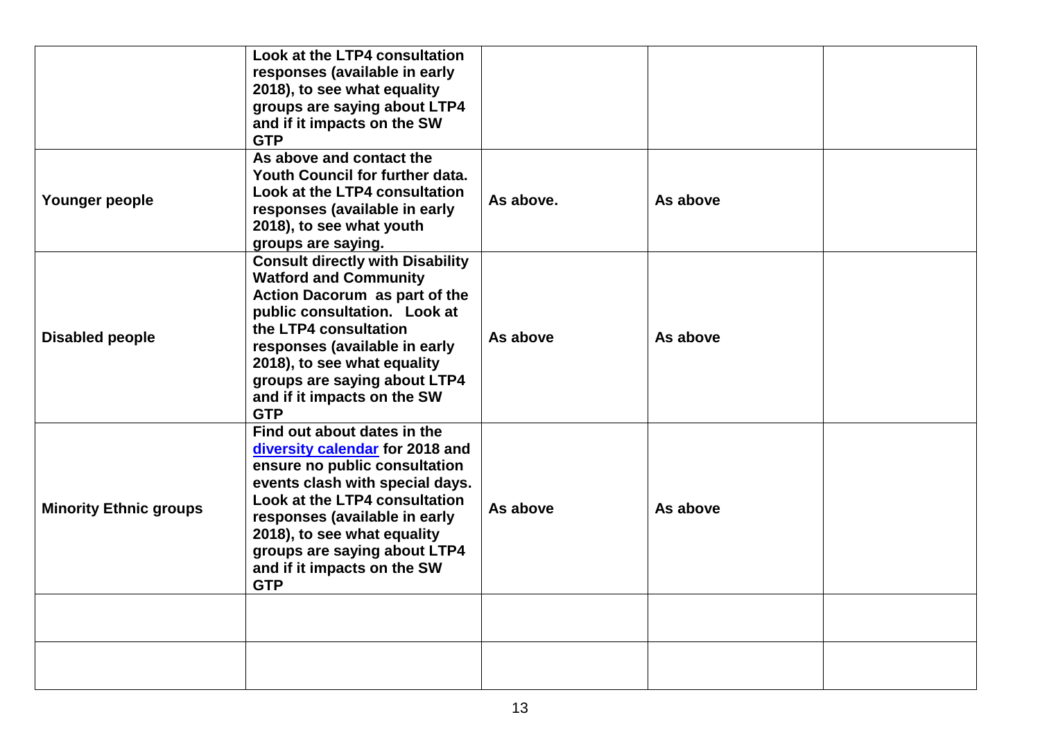|                               | Look at the LTP4 consultation<br>responses (available in early<br>2018), to see what equality<br>groups are saying about LTP4<br>and if it impacts on the SW<br><b>GTP</b>                                                                                                                                       |           |          |  |
|-------------------------------|------------------------------------------------------------------------------------------------------------------------------------------------------------------------------------------------------------------------------------------------------------------------------------------------------------------|-----------|----------|--|
| Younger people                | As above and contact the<br>Youth Council for further data.<br>Look at the LTP4 consultation<br>responses (available in early<br>2018), to see what youth<br>groups are saying.                                                                                                                                  | As above. | As above |  |
| <b>Disabled people</b>        | <b>Consult directly with Disability</b><br><b>Watford and Community</b><br>Action Dacorum as part of the<br>public consultation. Look at<br>the LTP4 consultation<br>responses (available in early<br>2018), to see what equality<br>groups are saying about LTP4<br>and if it impacts on the SW<br><b>GTP</b>   | As above  | As above |  |
| <b>Minority Ethnic groups</b> | Find out about dates in the<br>diversity calendar for 2018 and<br>ensure no public consultation<br>events clash with special days.<br>Look at the LTP4 consultation<br>responses (available in early<br>2018), to see what equality<br>groups are saying about LTP4<br>and if it impacts on the SW<br><b>GTP</b> | As above  | As above |  |
|                               |                                                                                                                                                                                                                                                                                                                  |           |          |  |
|                               |                                                                                                                                                                                                                                                                                                                  |           |          |  |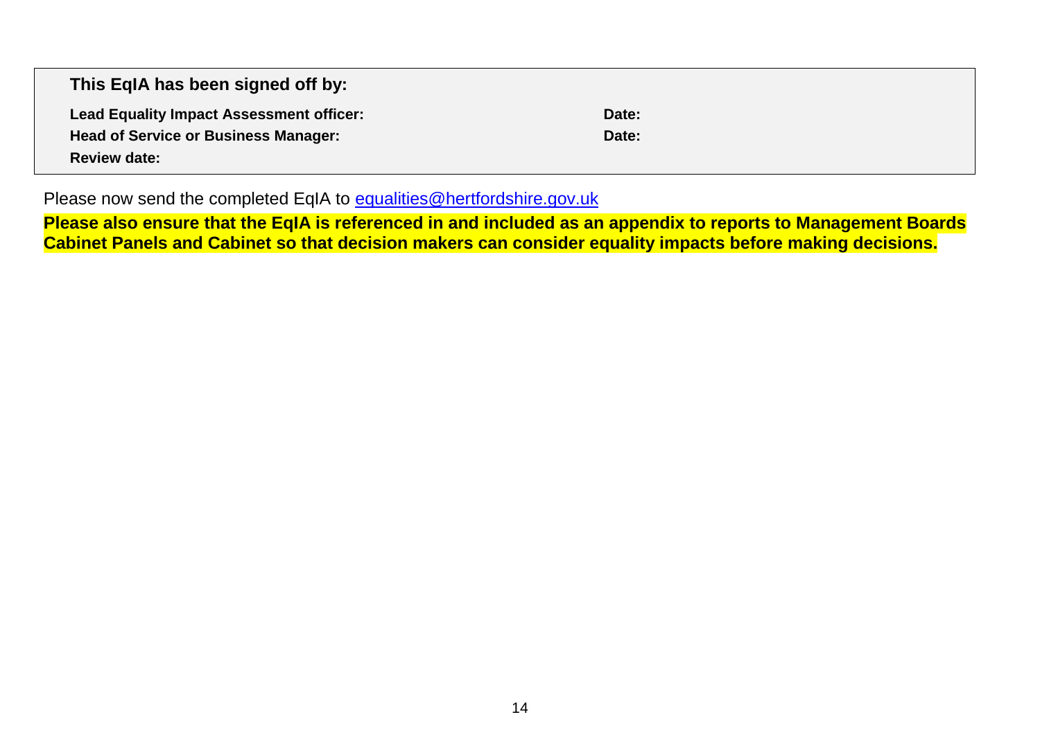| This EqIA has been signed off by:               |       |  |
|-------------------------------------------------|-------|--|
| <b>Lead Equality Impact Assessment officer:</b> | Date: |  |
| <b>Head of Service or Business Manager:</b>     | Date: |  |
| <b>Review date:</b>                             |       |  |

Please now send the completed EqIA to [equalities@hertfordshire.gov.uk](mailto:equalities@hertfordshire.gov.uk)

**Please also ensure that the EqIA is referenced in and included as an appendix to reports to Management Boards Cabinet Panels and Cabinet so that decision makers can consider equality impacts before making decisions.**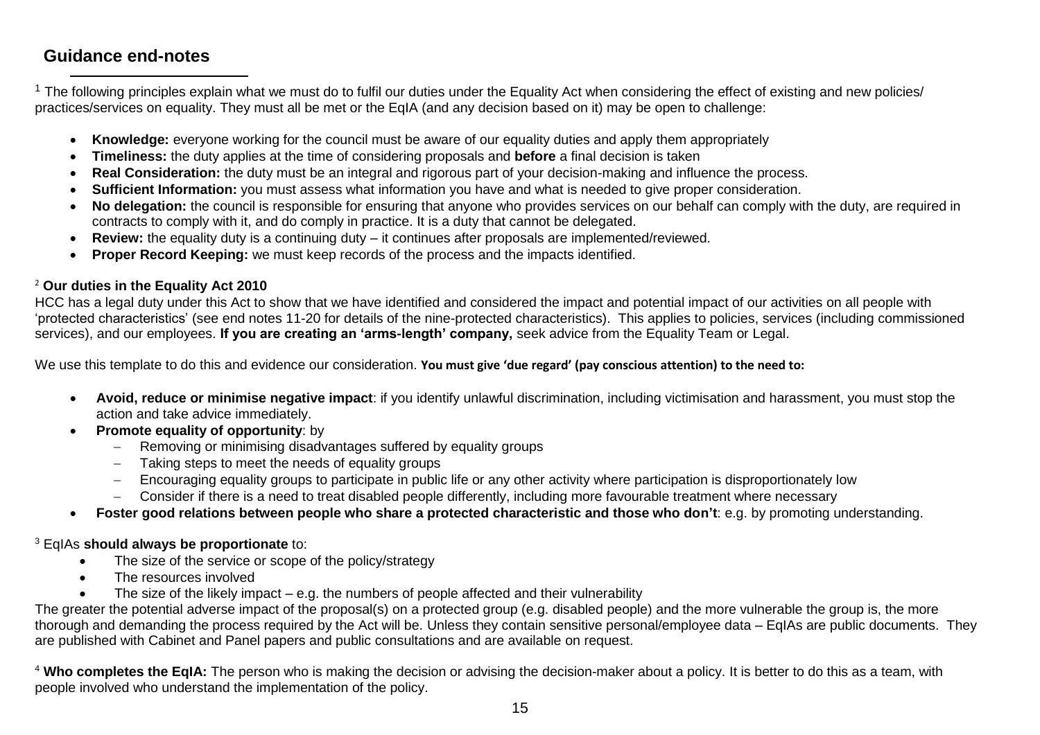### **Guidance end-notes**

 $\overline{a}$ 

<sup>1</sup> The following principles explain what we must do to fulfil our duties under the Equality Act when considering the effect of existing and new policies/ practices/services on equality. They must all be met or the EqIA (and any decision based on it) may be open to challenge:

- **Knowledge:** everyone working for the council must be aware of our equality duties and apply them appropriately
- **Timeliness:** the duty applies at the time of considering proposals and **before** a final decision is taken
- **Real Consideration:** the duty must be an integral and rigorous part of your decision-making and influence the process.
- **Sufficient Information:** you must assess what information you have and what is needed to give proper consideration.
- **No delegation:** the council is responsible for ensuring that anyone who provides services on our behalf can comply with the duty, are required in contracts to comply with it, and do comply in practice. It is a duty that cannot be delegated.
- **Review:** the equality duty is a continuing duty it continues after proposals are implemented/reviewed.
- **Proper Record Keeping:** we must keep records of the process and the impacts identified.

### <sup>2</sup> **Our duties in the Equality Act 2010**

HCC has a legal duty under this Act to show that we have identified and considered the impact and potential impact of our activities on all people with 'protected characteristics' (see end notes 11-20 for details of the nine-protected characteristics). This applies to policies, services (including commissioned services), and our employees. **If you are creating an 'arms-length' company,** seek advice from the Equality Team or Legal.

We use this template to do this and evidence our consideration. **You must give 'due regard' (pay conscious attention) to the need to:** 

- **Avoid, reduce or minimise negative impact**: if you identify unlawful discrimination, including victimisation and harassment, you must stop the action and take advice immediately.
- **Promote equality of opportunity:** by
	- − Removing or minimising disadvantages suffered by equality groups
	- − Taking steps to meet the needs of equality groups
	- − Encouraging equality groups to participate in public life or any other activity where participation is disproportionately low
	- − Consider if there is a need to treat disabled people differently, including more favourable treatment where necessary
- **Foster good relations between people who share a protected characteristic and those who don't**: e.g. by promoting understanding.

### <sup>3</sup> EqIAs **should always be proportionate** to:

- The size of the service or scope of the policy/strategy
- The resources involved
- The size of the likely impact  $-e.g.$  the numbers of people affected and their vulnerability

The greater the potential adverse impact of the proposal(s) on a protected group (e.g. disabled people) and the more vulnerable the group is, the more thorough and demanding the process required by the Act will be. Unless they contain sensitive personal/employee data – EqIAs are public documents. They are published with Cabinet and Panel papers and public consultations and are available on request.

<sup>4</sup> **Who completes the EqIA:** The person who is making the decision or advising the decision-maker about a policy. It is better to do this as a team, with people involved who understand the implementation of the policy.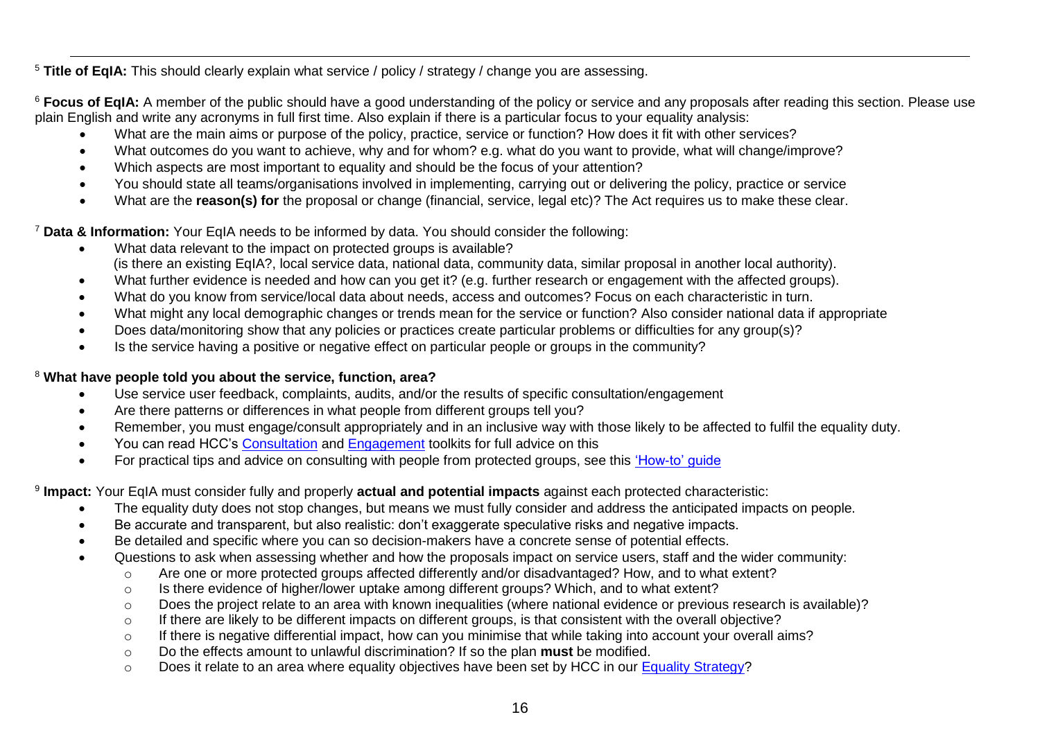$\overline{a}$ <sup>5</sup> **Title of EqIA:** This should clearly explain what service / policy / strategy / change you are assessing.

<sup>6</sup> Focus of EqIA: A member of the public should have a good understanding of the policy or service and any proposals after reading this section. Please use plain English and write any acronyms in full first time. Also explain if there is a particular focus to your equality analysis:

- What are the main aims or purpose of the policy, practice, service or function? How does it fit with other services?
- What outcomes do you want to achieve, why and for whom? e.g. what do you want to provide, what will change/improve?
- Which aspects are most important to equality and should be the focus of your attention?
- You should state all teams/organisations involved in implementing, carrying out or delivering the policy, practice or service
- What are the **reason(s) for** the proposal or change (financial, service, legal etc)? The Act requires us to make these clear.

<sup>7</sup> **Data & Information:** Your EqIA needs to be informed by data. You should consider the following:

- What data relevant to the impact on protected groups is available? (is there an existing EqIA?, local service data, national data, community data, similar proposal in another local authority).
- What further evidence is needed and how can you get it? (e.g. further research or engagement with the affected groups).
- What do you know from service/local data about needs, access and outcomes? Focus on each characteristic in turn.
- What might any local demographic changes or trends mean for the service or function? Also consider national data if appropriate
- Does data/monitoring show that any policies or practices create particular problems or difficulties for any group(s)?
- Is the service having a positive or negative effect on particular people or groups in the community?

### <sup>8</sup> **What have people told you about the service, function, area?**

- Use service user feedback, complaints, audits, and/or the results of specific consultation/engagement
- Are there patterns or differences in what people from different groups tell you?
- Remember, you must engage/consult appropriately and in an inclusive way with those likely to be affected to fulfil the equality duty.
- You can read HCC's [Consultation](https://hertscc365.sharepoint.com/sites/intranet/Services/Resources/CorporatePolicy/Pages/Consultation-Toolkit.aspx) and [Engagement](https://hertscc365.sharepoint.com/sites/intranet/Services/Resources/CorporatePolicy/Pages/Engagement-Toolkit.aspx) toolkits for full advice on this
- For practical tips and advice on consulting with people from protected groups, see this ['How-to' guide](https://hertscc365.sharepoint.com/sites/intranet/Services/Resources/Improvement/Pages/Consultation-and-Engagement.aspx)

9 **Impact:** Your EqIA must consider fully and properly **actual and potential impacts** against each protected characteristic:

- The equality duty does not stop changes, but means we must fully consider and address the anticipated impacts on people.
- Be accurate and transparent, but also realistic: don't exaggerate speculative risks and negative impacts.
- Be detailed and specific where you can so decision-makers have a concrete sense of potential effects.
- Questions to ask when assessing whether and how the proposals impact on service users, staff and the wider community:
	- o Are one or more protected groups affected differently and/or disadvantaged? How, and to what extent?
	- o Is there evidence of higher/lower uptake among different groups? Which, and to what extent?
	- o Does the project relate to an area with known inequalities (where national evidence or previous research is available)?
	- o If there are likely to be different impacts on different groups, is that consistent with the overall objective?
	- $\circ$  If there is negative differential impact, how can you minimise that while taking into account your overall aims?
	- o Do the effects amount to unlawful discrimination? If so the plan **must** be modified.
	- o Does it relate to an area where equality objectives have been set by HCC in our [Equality Strategy?](https://www.hertfordshire.gov.uk/media-library/documents/about-the-council/data-and-information/equality-and-diversity/equality-strategy-2016-2020.pdf)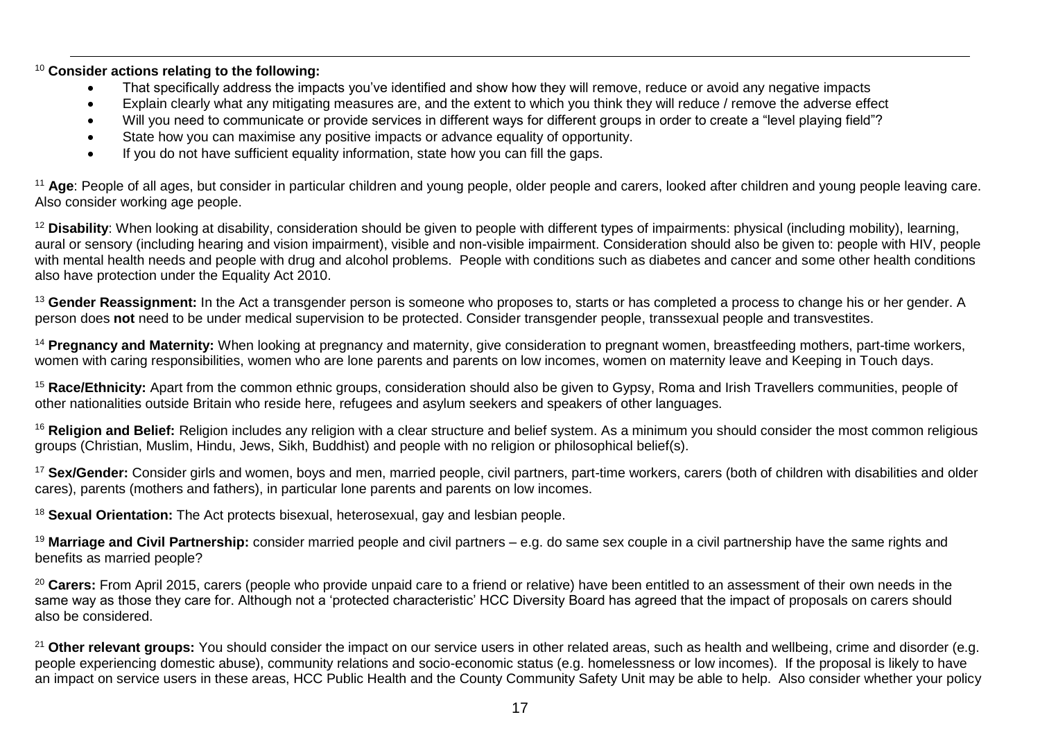$\overline{a}$ <sup>10</sup> **Consider actions relating to the following:** 

- That specifically address the impacts you've identified and show how they will remove, reduce or avoid any negative impacts
- Explain clearly what any mitigating measures are, and the extent to which you think they will reduce / remove the adverse effect
- Will you need to communicate or provide services in different ways for different groups in order to create a "level playing field"?
- State how you can maximise any positive impacts or advance equality of opportunity.
- If you do not have sufficient equality information, state how you can fill the gaps.

<sup>11</sup> Age: People of all ages, but consider in particular children and young people, older people and carers, looked after children and young people leaving care. Also consider working age people.

<sup>12</sup> Disability: When looking at disability, consideration should be given to people with different types of impairments: physical (including mobility), learning, aural or sensory (including hearing and vision impairment), visible and non-visible impairment. Consideration should also be given to: people with HIV, people with mental health needs and people with drug and alcohol problems. People with conditions such as diabetes and cancer and some other health conditions also have protection under the Equality Act 2010.

<sup>13</sup> Gender Reassignment: In the Act a transgender person is someone who proposes to, starts or has completed a process to change his or her gender. A person does **not** need to be under medical supervision to be protected. Consider transgender people, transsexual people and transvestites.

<sup>14</sup> **Pregnancy and Maternity:** When looking at pregnancy and maternity, give consideration to pregnant women, breastfeeding mothers, part-time workers, women with caring responsibilities, women who are lone parents and parents on low incomes, women on maternity leave and Keeping in Touch days.

<sup>15</sup> **Race/Ethnicity:** Apart from the common ethnic groups, consideration should also be given to Gypsy, Roma and Irish Travellers communities, people of other nationalities outside Britain who reside here, refugees and asylum seekers and speakers of other languages.

<sup>16</sup> Religion and Belief: Religion includes any religion with a clear structure and belief system. As a minimum you should consider the most common religious groups (Christian, Muslim, Hindu, Jews, Sikh, Buddhist) and people with no religion or philosophical belief(s).

<sup>17</sup> Sex/Gender: Consider girls and women, boys and men, married people, civil partners, part-time workers, carers (both of children with disabilities and older cares), parents (mothers and fathers), in particular lone parents and parents on low incomes.

<sup>18</sup> Sexual Orientation: The Act protects bisexual, heterosexual, gay and lesbian people.

<sup>19</sup> **Marriage and Civil Partnership:** consider married people and civil partners – e.g. do same sex couple in a civil partnership have the same rights and benefits as married people?

<sup>20</sup> Carers: From April 2015, carers (people who provide unpaid care to a friend or relative) have been entitled to an assessment of their own needs in the same way as those they care for. Although not a 'protected characteristic' HCC Diversity Board has agreed that the impact of proposals on carers should also be considered.

<sup>21</sup> Other relevant groups: You should consider the impact on our service users in other related areas, such as health and wellbeing, crime and disorder (e.g. people experiencing domestic abuse), community relations and socio-economic status (e.g. homelessness or low incomes). If the proposal is likely to have an impact on service users in these areas, HCC Public Health and the County Community Safety Unit may be able to help. Also consider whether your policy